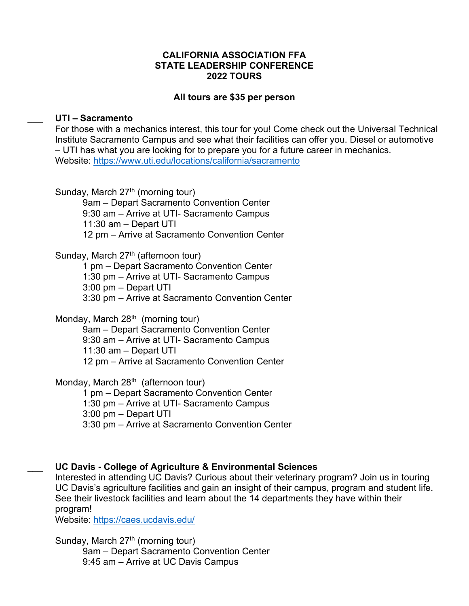### **CALIFORNIA ASSOCIATION FFA STATE LEADERSHIP CONFERENCE 2022 TOURS**

### **All tours are \$35 per person**

#### \_\_\_ **UTI – Sacramento**

For those with a mechanics interest, this tour for you! Come check out the Universal Technical Institute Sacramento Campus and see what their facilities can offer you. Diesel or automotive – UTI has what you are looking for to prepare you for a future career in mechanics. Website:<https://www.uti.edu/locations/california/sacramento>

Sunday, March  $27<sup>th</sup>$  (morning tour)

9am – Depart Sacramento Convention Center 9:30 am – Arrive at UTI- Sacramento Campus 11:30 am – Depart UTI 12 pm – Arrive at Sacramento Convention Center

Sunday, March  $27<sup>th</sup>$  (afternoon tour)

1 pm – Depart Sacramento Convention Center 1:30 pm – Arrive at UTI- Sacramento Campus 3:00 pm – Depart UTI 3:30 pm – Arrive at Sacramento Convention Center

Monday, March  $28<sup>th</sup>$  (morning tour)

9am – Depart Sacramento Convention Center 9:30 am – Arrive at UTI- Sacramento Campus 11:30 am – Depart UTI 12 pm – Arrive at Sacramento Convention Center

Monday, March 28<sup>th</sup> (afternoon tour)

1 pm – Depart Sacramento Convention Center 1:30 pm – Arrive at UTI- Sacramento Campus 3:00 pm – Depart UTI 3:30 pm – Arrive at Sacramento Convention Center

### \_\_\_ **UC Davis - College of Agriculture & Environmental Sciences**

Interested in attending UC Davis? Curious about their veterinary program? Join us in touring UC Davis's agriculture facilities and gain an insight of their campus, program and student life. See their livestock facilities and learn about the 14 departments they have within their program!

Website:<https://caes.ucdavis.edu/>

Sunday, March  $27<sup>th</sup>$  (morning tour) 9am – Depart Sacramento Convention Center 9:45 am – Arrive at UC Davis Campus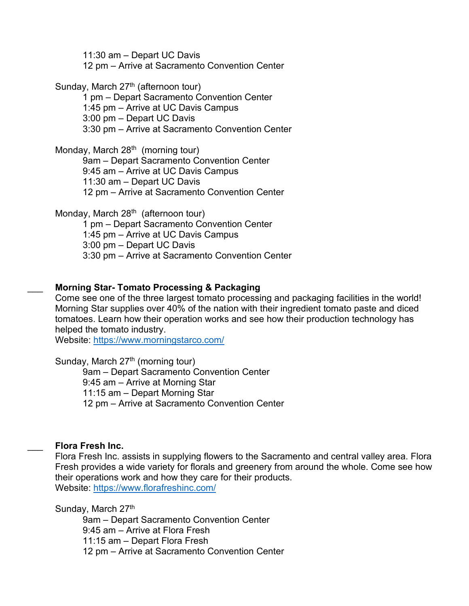11:30 am – Depart UC Davis

12 pm – Arrive at Sacramento Convention Center

Sunday, March  $27<sup>th</sup>$  (afternoon tour)

1 pm – Depart Sacramento Convention Center 1:45 pm – Arrive at UC Davis Campus 3:00 pm – Depart UC Davis

3:30 pm – Arrive at Sacramento Convention Center

Monday, March  $28<sup>th</sup>$  (morning tour) 9am – Depart Sacramento Convention Center 9:45 am – Arrive at UC Davis Campus 11:30 am – Depart UC Davis 12 pm – Arrive at Sacramento Convention Center

Monday, March  $28<sup>th</sup>$  (afternoon tour) 1 pm – Depart Sacramento Convention Center 1:45 pm – Arrive at UC Davis Campus 3:00 pm – Depart UC Davis 3:30 pm – Arrive at Sacramento Convention Center

# \_\_\_ **Morning Star- Tomato Processing & Packaging**

Come see one of the three largest tomato processing and packaging facilities in the world! Morning Star supplies over 40% of the nation with their ingredient tomato paste and diced tomatoes. Learn how their operation works and see how their production technology has helped the tomato industry.

Website:<https://www.morningstarco.com/>

Sunday, March  $27<sup>th</sup>$  (morning tour) 9am – Depart Sacramento Convention Center 9:45 am – Arrive at Morning Star 11:15 am – Depart Morning Star 12 pm – Arrive at Sacramento Convention Center

# \_\_\_ **Flora Fresh Inc.**

Flora Fresh Inc. assists in supplying flowers to the Sacramento and central valley area. Flora Fresh provides a wide variety for florals and greenery from around the whole. Come see how their operations work and how they care for their products. Website:<https://www.florafreshinc.com/>

Sunday, March 27th

9am – Depart Sacramento Convention Center 9:45 am – Arrive at Flora Fresh 11:15 am – Depart Flora Fresh 12 pm – Arrive at Sacramento Convention Center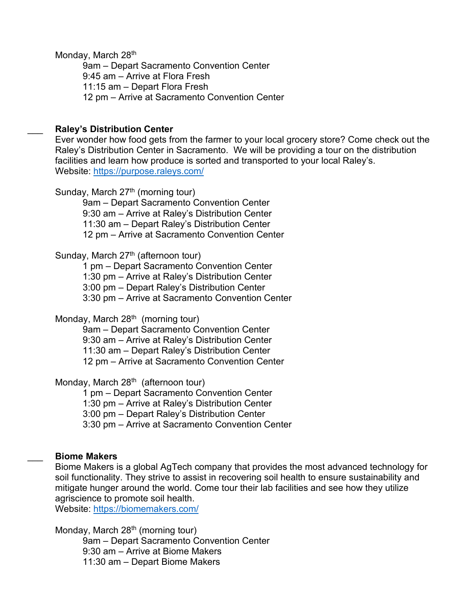Monday, March 28<sup>th</sup>

9am – Depart Sacramento Convention Center 9:45 am – Arrive at Flora Fresh 11:15 am – Depart Flora Fresh 12 pm – Arrive at Sacramento Convention Center

## \_\_\_ **Raley's Distribution Center**

Ever wonder how food gets from the farmer to your local grocery store? Come check out the Raley's Distribution Center in Sacramento. We will be providing a tour on the distribution facilities and learn how produce is sorted and transported to your local Raley's. Website:<https://purpose.raleys.com/>

Sunday, March  $27<sup>th</sup>$  (morning tour)

9am – Depart Sacramento Convention Center 9:30 am – Arrive at Raley's Distribution Center 11:30 am – Depart Raley's Distribution Center 12 pm – Arrive at Sacramento Convention Center

## Sunday, March  $27<sup>th</sup>$  (afternoon tour)

1 pm – Depart Sacramento Convention Center 1:30 pm – Arrive at Raley's Distribution Center 3:00 pm – Depart Raley's Distribution Center 3:30 pm – Arrive at Sacramento Convention Center

Monday, March  $28<sup>th</sup>$  (morning tour)

9am – Depart Sacramento Convention Center 9:30 am – Arrive at Raley's Distribution Center 11:30 am – Depart Raley's Distribution Center 12 pm – Arrive at Sacramento Convention Center

Monday, March  $28<sup>th</sup>$  (afternoon tour)

1 pm – Depart Sacramento Convention Center

1:30 pm – Arrive at Raley's Distribution Center

3:00 pm – Depart Raley's Distribution Center

3:30 pm – Arrive at Sacramento Convention Center

# \_\_\_ **Biome Makers**

Biome Makers is a global AgTech company that provides the most advanced technology for soil functionality. They strive to assist in recovering soil health to ensure sustainability and mitigate hunger around the world. Come tour their lab facilities and see how they utilize agriscience to promote soil health.

Website:<https://biomemakers.com/>

Monday, March 28<sup>th</sup> (morning tour) 9am – Depart Sacramento Convention Center 9:30 am – Arrive at Biome Makers 11:30 am – Depart Biome Makers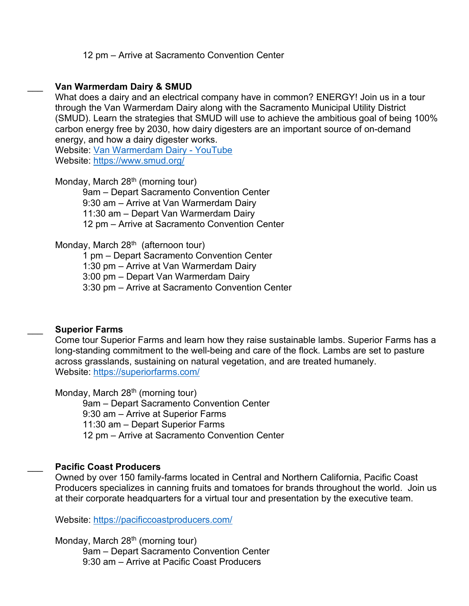12 pm – Arrive at Sacramento Convention Center

#### \_\_\_ **Van Warmerdam Dairy & SMUD**

What does a dairy and an electrical company have in common? ENERGY! Join us in a tour through the Van Warmerdam Dairy along with the Sacramento Municipal Utility District (SMUD). Learn the strategies that SMUD will use to achieve the ambitious goal of being 100% carbon energy free by 2030, how dairy digesters are an important source of on-demand energy, and how a dairy digester works.

Website: Van [Warmerdam](https://urldefense.proofpoint.com/v2/url?u=https-3A__www.youtube.com_watch-3Fv-3D-2D1XTihdgD2Y&d=DwMFAw&c=SIStQSL0VMIUJoLS-Q8giiFlA-AKdP7tpJHyQh8DeXk&r=a4z91iV4-Zdq9NERcieBfJZsuTOVDNJqPVtfbqzhpic&m=fct0SQkwIgCkt-LEzRAf27r7ihOFf3ocL1llbhK1Iac&s=vf4O9Hkbx3_5GRX583vyHZaijcW97fflkcI1--kGmbg&e=) Dairy - YouTube

Website:<https://www.smud.org/>

Monday, March  $28<sup>th</sup>$  (morning tour)

9am – Depart Sacramento Convention Center 9:30 am – Arrive at Van Warmerdam Dairy 11:30 am – Depart Van Warmerdam Dairy 12 pm – Arrive at Sacramento Convention Center

## Monday, March 28<sup>th</sup> (afternoon tour)

1 pm – Depart Sacramento Convention Center 1:30 pm – Arrive at Van Warmerdam Dairy 3:00 pm – Depart Van Warmerdam Dairy

3:30 pm – Arrive at Sacramento Convention Center

## \_\_\_ **Superior Farms**

Come tour Superior Farms and learn how they raise sustainable lambs. Superior Farms has a long-standing commitment to the well-being and care of the flock. Lambs are set to pasture across grasslands, sustaining on natural vegetation, and are treated humanely. Website:<https://superiorfarms.com/>

Monday, March 28<sup>th</sup> (morning tour)

9am – Depart Sacramento Convention Center 9:30 am – Arrive at Superior Farms 11:30 am – Depart Superior Farms 12 pm – Arrive at Sacramento Convention Center

## \_\_\_ **Pacific Coast Producers**

Owned by over 150 family-farms located in Central and Northern California, Pacific Coast Producers specializes in canning fruits and tomatoes for brands throughout the world. Join us at their corporate headquarters for a virtual tour and presentation by the executive team.

Website:<https://pacificcoastproducers.com/>

Monday, March  $28<sup>th</sup>$  (morning tour) 9am – Depart Sacramento Convention Center 9:30 am – Arrive at Pacific Coast Producers